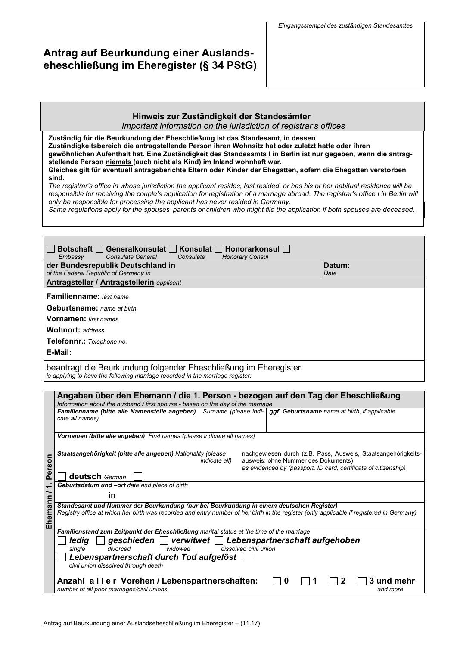# **Antrag auf Beurkundung einer Auslandseheschließung im Eheregister (§ 34 PStG)**

## **Hinweis zur Zuständigkeit der Standesämter**

*Important information on the jurisdiction of registrar's offices*

**Zuständig für die Beurkundung der Eheschließung ist das Standesamt, in dessen Zuständigkeitsbereich die antragstellende Person ihren Wohnsitz hat oder zuletzt hatte oder ihren gewöhnlichen Aufenthalt hat. Eine Zuständigkeit des Standesamts I in Berlin ist nur gegeben, wenn die antragstellende Person niemals (auch nicht als Kind) im Inland wohnhaft war. Gleiches gilt für eventuell antragsberichte Eltern oder Kinder der Ehegatten, sofern die Ehegatten verstorben sind.**

y be responsible for processing the applicant has never restaca in Germa<br>me requilations annly for the snouses' narents or children who might file th Same regulations apply for the spouses' parents or children who might file the application if both spouses are deceased. *The registrar's office in whose jurisdiction the applicant resides, last resided, or has his or her habitual residence will be responsible for receiving the couple's application for registration of a marriage abroad. The registrar's office I in Berlin will only be responsible for processing the applicant has never resided in Germany.*

| Botschaft   Generalkonsulat   Konsulat   Honorarkonsul   I          |      |  |  |  |
|---------------------------------------------------------------------|------|--|--|--|
| Consulate General<br><b>Honorary Consul</b><br>Embassy<br>Consulate |      |  |  |  |
| der Bundesrepublik Deutschland in<br>Datum:                         |      |  |  |  |
| of the Federal Republic of Germany in                               | Date |  |  |  |
| <b>Antragsteller / Antragstellerin</b> applicant                    |      |  |  |  |
| Familienname: last name                                             |      |  |  |  |
| <b>Geburtsname:</b> name at birth                                   |      |  |  |  |
| <b>Vornamen:</b> first names                                        |      |  |  |  |
| <b>Wohnort: address</b>                                             |      |  |  |  |
| Telefonnr.: Telephone no.                                           |      |  |  |  |
| E-Mail:                                                             |      |  |  |  |
| beantragt die Beurkundung folgender Eheschließung im Eheregister:   |      |  |  |  |

*is applying to have the following marriage recorded in the marriage register:*

|                         | Angaben über den Ehemann / die 1. Person - bezogen auf den Tag der Eheschließung<br>Information about the husband / first spouse - based on the day of the marriage                                                                                             |  |  |
|-------------------------|-----------------------------------------------------------------------------------------------------------------------------------------------------------------------------------------------------------------------------------------------------------------|--|--|
|                         | Familienname (bitte alle Namensteile angeben) Surname (please indi-   ggf. Geburtsname name at birth, if applicable<br>cate all names)                                                                                                                          |  |  |
|                         | Vornamen (bitte alle angeben) First names (please indicate all names)                                                                                                                                                                                           |  |  |
| 5<br>ဖို                | Staatsangehörigkeit (bitte alle angeben) Nationality (please<br>nachgewiesen durch (z.B. Pass, Ausweis, Staatsangehörigkeits-<br>ausweis; ohne Nummer des Dokuments)<br><i>indicate all)</i><br>as evidenced by (passport, ID card, certificate of citizenship) |  |  |
| $\overline{\mathbf{a}}$ | <b>deutsch</b> German                                                                                                                                                                                                                                           |  |  |
| ÷                       | Geburtsdatum und -ort date and place of birth                                                                                                                                                                                                                   |  |  |
| ⊆                       | in                                                                                                                                                                                                                                                              |  |  |
| heman<br>ш              | Standesamt und Nummer der Beurkundung (nur bei Beurkundung in einem deutschen Register)<br>Registry office at which her birth was recorded and entry number of her birth in the register (only applicable if registered in Germany)                             |  |  |
|                         | Familienstand zum Zeitpunkt der Eheschließung marital status at the time of the marriage                                                                                                                                                                        |  |  |
|                         | geschieden   verwitwet   Lebenspartnerschaft aufgehoben<br>ledia<br>dissolved civil union<br>widowed<br>divorced<br>sinale                                                                                                                                      |  |  |
|                         | Lebenspartnerschaft durch Tod aufgelöst                                                                                                                                                                                                                         |  |  |
|                         | civil union dissolved through death                                                                                                                                                                                                                             |  |  |
|                         | Anzahl aller Vorehen / Lebenspartnerschaften:<br>3 und mehr<br>0<br>number of all prior marriages/civil unions<br>and more                                                                                                                                      |  |  |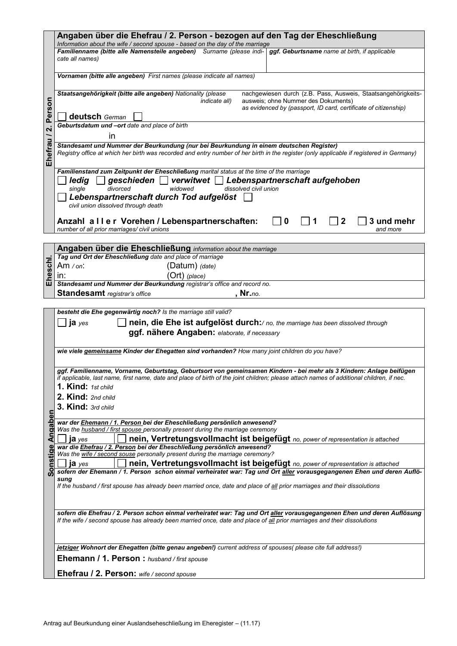|                                                                                                | Angaben über die Ehefrau / 2. Person - bezogen auf den Tag der Eheschließung                                                                                                                                                                                     |  |  |  |
|------------------------------------------------------------------------------------------------|------------------------------------------------------------------------------------------------------------------------------------------------------------------------------------------------------------------------------------------------------------------|--|--|--|
|                                                                                                | Information about the wife / second spouse - based on the day of the marriage<br>Familienname (bitte alle Namensteile angeben) Surname (please indi-   ggf. Geburtsname name at birth, if applicable                                                             |  |  |  |
|                                                                                                | cate all names)                                                                                                                                                                                                                                                  |  |  |  |
|                                                                                                |                                                                                                                                                                                                                                                                  |  |  |  |
|                                                                                                | Vornamen (bitte alle angeben) First names (please indicate all names)                                                                                                                                                                                            |  |  |  |
|                                                                                                | Staatsangehörigkeit (bitte alle angeben) Nationality (please<br>nachgewiesen durch (z.B. Pass, Ausweis, Staatsangehörigkeits-<br>ausweis; ohne Nummer des Dokuments)<br><i>indicate all)</i>                                                                     |  |  |  |
| Person                                                                                         | as evidenced by (passport, ID card, certificate of citizenship)<br>deutsch German                                                                                                                                                                                |  |  |  |
|                                                                                                | Geburtsdatum und -ort date and place of birth                                                                                                                                                                                                                    |  |  |  |
| $\overline{\mathbf{u}}$                                                                        | in                                                                                                                                                                                                                                                               |  |  |  |
|                                                                                                | Standesamt und Nummer der Beurkundung (nur bei Beurkundung in einem deutschen Register)                                                                                                                                                                          |  |  |  |
| Ehefrau                                                                                        | Registry office at which her birth was recorded and entry number of her birth in the register (only applicable if registered in Germany)                                                                                                                         |  |  |  |
|                                                                                                | Familienstand zum Zeitpunkt der Eheschließung marital status at the time of the marriage                                                                                                                                                                         |  |  |  |
|                                                                                                | $\Box$ geschieden $\Box$ verwitwet $\Box$ Lebenspartnerschaft aufgehoben<br>ledig  <br>divorced<br>dissolved civil union<br>single<br>widowed                                                                                                                    |  |  |  |
|                                                                                                | Lebenspartnerschaft durch Tod aufgelöst<br>civil union dissolved through death                                                                                                                                                                                   |  |  |  |
|                                                                                                | Anzahl aller Vorehen / Lebenspartnerschaften:<br>3 und mehr<br>$\mathbf{2}$<br>0<br>number of all prior marriages/civil unions<br>and more                                                                                                                       |  |  |  |
|                                                                                                |                                                                                                                                                                                                                                                                  |  |  |  |
|                                                                                                | Angaben über die Eheschließung information about the marriage                                                                                                                                                                                                    |  |  |  |
| Eheschl.                                                                                       | Tag und Ort der Eheschließung date and place of marriage                                                                                                                                                                                                         |  |  |  |
|                                                                                                | (Datum) (date)<br>Am $\sqrt{on}$ :<br>(Ort) (place)<br>in:                                                                                                                                                                                                       |  |  |  |
|                                                                                                | Standesamt und Nummer der Beurkundung registrar's office and record no.                                                                                                                                                                                          |  |  |  |
|                                                                                                | <b>Standesamt</b> registrar's office<br>. Nr. <i>no</i> .                                                                                                                                                                                                        |  |  |  |
|                                                                                                |                                                                                                                                                                                                                                                                  |  |  |  |
|                                                                                                | besteht die Ehe gegenwärtig noch? Is the marriage still valid?                                                                                                                                                                                                   |  |  |  |
|                                                                                                | nein, die Ehe ist aufgelöst durch:/ no, the marriage has been dissolved through<br>ja yes                                                                                                                                                                        |  |  |  |
|                                                                                                | ggf. nähere Angaben: elaborate, if necessary                                                                                                                                                                                                                     |  |  |  |
| wie viele gemeinsame Kinder der Ehegatten sind vorhanden? How many joint children do you have? |                                                                                                                                                                                                                                                                  |  |  |  |
|                                                                                                |                                                                                                                                                                                                                                                                  |  |  |  |
|                                                                                                | ggf. Familienname, Vorname, Geburtstag, Geburtsort von gemeinsamen Kindern - bei mehr als 3 Kindern: Anlage beifügen<br>if applicable, last name, first name, date and place of birth of the joint children; please attach names of additional children, if nec. |  |  |  |
|                                                                                                | 1. Kind: 1st child                                                                                                                                                                                                                                               |  |  |  |
|                                                                                                | 2. Kind: 2nd child                                                                                                                                                                                                                                               |  |  |  |
|                                                                                                | 3. Kind: 3rd child                                                                                                                                                                                                                                               |  |  |  |
| Angaben                                                                                        |                                                                                                                                                                                                                                                                  |  |  |  |
|                                                                                                | war der Ehemann / 1. Person bei der Eheschließung persönlich anwesend?<br>Was the husband / first spouse personally present during the marriage ceremony                                                                                                         |  |  |  |
|                                                                                                | nein, Vertretungsvollmacht ist beigefügt no, power of representation is attached<br>ja yes                                                                                                                                                                       |  |  |  |
|                                                                                                | war die Ehefrau / 2. Person bei der Eheschließung persönlich anwesend?                                                                                                                                                                                           |  |  |  |
| Sonstig                                                                                        | Was the wife / second souse personally present during the marriage ceremony?<br>nein, Vertretungsvollmacht ist beigefügt no, power of representation is attached<br>$ia$ ves                                                                                     |  |  |  |
|                                                                                                | sofern der Ehemann / 1. Person schon einmal verheiratet war: Tag und Ort aller vorausgegangenen Ehen und deren Auflö-                                                                                                                                            |  |  |  |
|                                                                                                | sunq                                                                                                                                                                                                                                                             |  |  |  |
|                                                                                                | If the husband / first spouse has already been married once, date and place of all prior marriages and their dissolutions                                                                                                                                        |  |  |  |
|                                                                                                |                                                                                                                                                                                                                                                                  |  |  |  |
|                                                                                                | sofern die Ehefrau / 2. Person schon einmal verheiratet war: Tag und Ort aller vorausgegangenen Ehen und deren Auflösung                                                                                                                                         |  |  |  |
|                                                                                                | If the wife / second spouse has already been married once, date and place of all prior marriages and their dissolutions                                                                                                                                          |  |  |  |
|                                                                                                |                                                                                                                                                                                                                                                                  |  |  |  |
|                                                                                                | jetziger Wohnort der Ehegatten (bitte genau angeben!) current address of spouses( please cite full address!)                                                                                                                                                     |  |  |  |
|                                                                                                | Ehemann / 1. Person: husband / first spouse                                                                                                                                                                                                                      |  |  |  |
|                                                                                                | Ehefrau / 2. Person: wife / second spouse                                                                                                                                                                                                                        |  |  |  |
|                                                                                                |                                                                                                                                                                                                                                                                  |  |  |  |
|                                                                                                |                                                                                                                                                                                                                                                                  |  |  |  |
|                                                                                                |                                                                                                                                                                                                                                                                  |  |  |  |
|                                                                                                | Antrag auf Beurkundung einer Auslandseheschließung im Eheregister - (11.17)                                                                                                                                                                                      |  |  |  |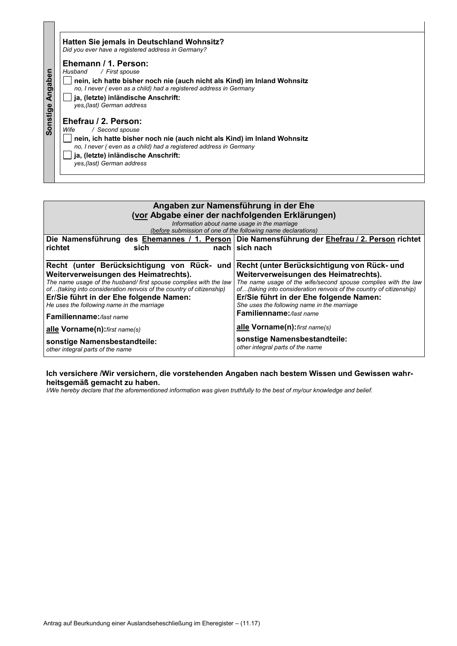|          | Hatten Sie jemals in Deutschland Wohnsitz?<br>Did you ever have a registered address in Germany? |
|----------|--------------------------------------------------------------------------------------------------|
|          | Ehemann / 1. Person:<br>Husband / First spouse                                                   |
| Angaben  | nein, ich hatte bisher noch nie (auch nicht als Kind) im Inland Wohnsitz                         |
|          | no. I never (even as a child) had a registered address in Germany                                |
|          | ja, (letzte) inländische Anschrift:                                                              |
|          | yes.(last) German address                                                                        |
| Sonstige | Ehefrau / 2. Person:                                                                             |
|          | / Second spouse<br>Wife                                                                          |
|          | nein, ich hatte bisher noch nie (auch nicht als Kind) im Inland Wohnsitz                         |
|          | no, I never (even as a child) had a registered address in Germany                                |
|          | ja, (letzte) inländische Anschrift:                                                              |
|          | yes, (last) German address                                                                       |
|          |                                                                                                  |

 $\overline{\phantom{0}}$ 

| Angaben<br>Husband<br>/ First spouse<br>nein, ich hatte bisher noch nie (auch nicht als Kind) im Inland Wohnsitz<br>no, I never (even as a child) had a registered address in Germany<br>ja, (letzte) inländische Anschrift:<br>Sonstige<br>yes, (last) German address<br>Ehefrau / 2. Person:<br>Wife<br>/ Second spouse<br>nein, ich hatte bisher noch nie (auch nicht als Kind) im Inland Wohnsitz<br>no, I never (even as a child) had a registered address in Germany<br>ja, (letzte) inländische Anschrift:<br>yes, (last) German address |                                                                                                                                                                                                                                                                                                                                                                       |  |  |  |
|-------------------------------------------------------------------------------------------------------------------------------------------------------------------------------------------------------------------------------------------------------------------------------------------------------------------------------------------------------------------------------------------------------------------------------------------------------------------------------------------------------------------------------------------------|-----------------------------------------------------------------------------------------------------------------------------------------------------------------------------------------------------------------------------------------------------------------------------------------------------------------------------------------------------------------------|--|--|--|
| Angaben zur Namensführung in der Ehe<br>(vor Abgabe einer der nachfolgenden Erklärungen)<br>Information about name usage in the marriage                                                                                                                                                                                                                                                                                                                                                                                                        |                                                                                                                                                                                                                                                                                                                                                                       |  |  |  |
| richtet<br>sich                                                                                                                                                                                                                                                                                                                                                                                                                                                                                                                                 | (before submission of one of the following name declarations)<br>Die Namensführung des Ehemannes / 1. Person Die Namensführung der Ehefrau / 2. Person richtet<br>nach sich nach                                                                                                                                                                                      |  |  |  |
| Recht (unter Berücksichtigung von Rück- und Recht (unter Berücksichtigung von Rück- und<br>Weiterverweisungen des Heimatrechts).<br>The name usage of the husband/ first spouse complies with the law<br>of(taking into consideration renvois of the country of citizenship)<br>Er/Sie führt in der Ehe folgende Namen:<br>He uses the following name in the marriage<br>Familienname://ast name<br>alle Vorname(n): first name(s)<br>sonstige Namensbestandteile:                                                                              | Weiterverweisungen des Heimatrechts).<br>The name usage of the wife/second spouse complies with the law<br>of(taking into consideration renvois of the country of citizenship)<br>Er/Sie führt in der Ehe folgende Namen:<br>She uses the following name in the marriage<br>Familienname://ast name<br>alle Vorname(n): first name(s)<br>sonstige Namensbestandteile: |  |  |  |
| other integral parts of the name<br>other integral parts of the name<br>Ich versichere /Wir versichern, die vorstehenden Angaben nach bestem Wissen und Gewissen wahr-<br>heitsgemäß gemacht zu haben.<br>I/We hereby declare that the aforementioned information was given truthfully to the best of my/our knowledge and belief.                                                                                                                                                                                                              |                                                                                                                                                                                                                                                                                                                                                                       |  |  |  |
|                                                                                                                                                                                                                                                                                                                                                                                                                                                                                                                                                 |                                                                                                                                                                                                                                                                                                                                                                       |  |  |  |
|                                                                                                                                                                                                                                                                                                                                                                                                                                                                                                                                                 |                                                                                                                                                                                                                                                                                                                                                                       |  |  |  |
|                                                                                                                                                                                                                                                                                                                                                                                                                                                                                                                                                 |                                                                                                                                                                                                                                                                                                                                                                       |  |  |  |
|                                                                                                                                                                                                                                                                                                                                                                                                                                                                                                                                                 |                                                                                                                                                                                                                                                                                                                                                                       |  |  |  |
|                                                                                                                                                                                                                                                                                                                                                                                                                                                                                                                                                 |                                                                                                                                                                                                                                                                                                                                                                       |  |  |  |
|                                                                                                                                                                                                                                                                                                                                                                                                                                                                                                                                                 |                                                                                                                                                                                                                                                                                                                                                                       |  |  |  |
| Antrag auf Beurkundung einer Auslandseheschließung im Eheregister - (11.17)                                                                                                                                                                                                                                                                                                                                                                                                                                                                     |                                                                                                                                                                                                                                                                                                                                                                       |  |  |  |

## **Ich versichere /Wir versichern, die vorstehenden Angaben nach bestem Wissen und Gewissen wahrheitsgemäß gemacht zu haben.**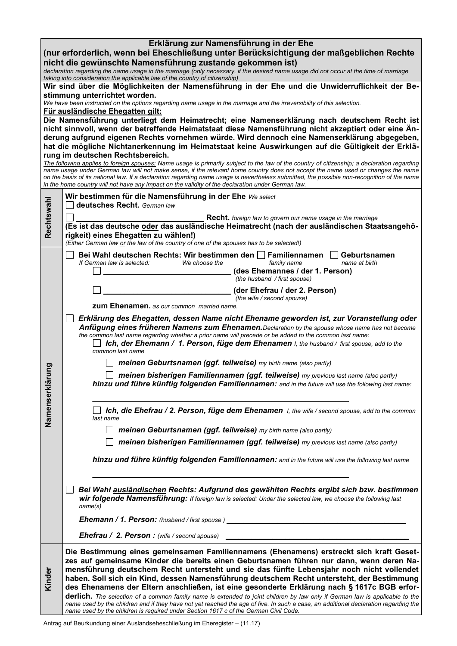| Erklärung zur Namensführung in der Ehe                                                                                                                                                             |                                                                                                                                                                                                                                                                                |  |  |  |  |
|----------------------------------------------------------------------------------------------------------------------------------------------------------------------------------------------------|--------------------------------------------------------------------------------------------------------------------------------------------------------------------------------------------------------------------------------------------------------------------------------|--|--|--|--|
| (nur erforderlich, wenn bei Eheschließung unter Berücksichtigung der maßgeblichen Rechte                                                                                                           |                                                                                                                                                                                                                                                                                |  |  |  |  |
| nicht die gewünschte Namensführung zustande gekommen ist)<br>declaration regarding the name usage in the marriage (only necessary, if the desired name usage did not occur at the time of marriage |                                                                                                                                                                                                                                                                                |  |  |  |  |
|                                                                                                                                                                                                    | taking into consideration the applicable law of the country of citizenship)<br>Wir sind über die Möglichkeiten der Namensführung in der Ehe und die Unwiderruflichkeit der Be-                                                                                                 |  |  |  |  |
|                                                                                                                                                                                                    | stimmung unterrichtet worden.                                                                                                                                                                                                                                                  |  |  |  |  |
|                                                                                                                                                                                                    | We have been instructed on the options regarding name usage in the marriage and the irreversibility of this selection.<br>Für ausländische Ehegatten gilt:                                                                                                                     |  |  |  |  |
|                                                                                                                                                                                                    | Die Namensführung unterliegt dem Heimatrecht; eine Namenserklärung nach deutschem Recht ist                                                                                                                                                                                    |  |  |  |  |
|                                                                                                                                                                                                    | nicht sinnvoll, wenn der betreffende Heimatstaat diese Namensführung nicht akzeptiert oder eine Än-<br>derung aufgrund eigenen Rechts vornehmen würde. Wird dennoch eine Namenserklärung abgegeben,                                                                            |  |  |  |  |
|                                                                                                                                                                                                    | hat die mögliche Nichtanerkennung im Heimatstaat keine Auswirkungen auf die Gültigkeit der Erklä-                                                                                                                                                                              |  |  |  |  |
|                                                                                                                                                                                                    | rung im deutschen Rechtsbereich.<br>The following applies to foreign spouses: Name usage is primarily subject to the law of the country of citizenship; a declaration regarding                                                                                                |  |  |  |  |
|                                                                                                                                                                                                    | name usage under German law will not make sense, if the relevant home country does not accept the name used or changes the name<br>on the basis of its national law. If a declaration regarding name usage is nevertheless submitted, the possible non-recognition of the name |  |  |  |  |
|                                                                                                                                                                                                    | in the home country will not have any impact on the validity of the declaration under German law.                                                                                                                                                                              |  |  |  |  |
|                                                                                                                                                                                                    | Wir bestimmen für die Namensführung in der Ehe We select<br>deutsches Recht. German law                                                                                                                                                                                        |  |  |  |  |
| Rechtswahl                                                                                                                                                                                         | <b>Recht.</b> foreign law to govern our name usage in the marriage                                                                                                                                                                                                             |  |  |  |  |
|                                                                                                                                                                                                    | (Es ist das deutsche oder das ausländische Heimatrecht (nach der ausländischen Staatsangehö-                                                                                                                                                                                   |  |  |  |  |
|                                                                                                                                                                                                    | rigkeit) eines Ehegatten zu wählen!)<br>(Either German law or the law of the country of one of the spouses has to be selected!)                                                                                                                                                |  |  |  |  |
|                                                                                                                                                                                                    | Bei Wahl deutschen Rechts: Wir bestimmen den □ Familiennamen<br>Geburtsnamen                                                                                                                                                                                                   |  |  |  |  |
|                                                                                                                                                                                                    | If German law is selected:<br>We choose the<br>family name<br>name at birth<br>(des Ehemannes / der 1. Person)                                                                                                                                                                 |  |  |  |  |
|                                                                                                                                                                                                    | (the husband / first spouse)                                                                                                                                                                                                                                                   |  |  |  |  |
|                                                                                                                                                                                                    | (der Ehefrau / der 2. Person)<br>(the wife / second spouse)                                                                                                                                                                                                                    |  |  |  |  |
|                                                                                                                                                                                                    | <b>zum Ehenamen.</b> as our common married name.                                                                                                                                                                                                                               |  |  |  |  |
|                                                                                                                                                                                                    | Erklärung des Ehegatten, dessen Name nicht Ehename geworden ist, zur Voranstellung oder                                                                                                                                                                                        |  |  |  |  |
|                                                                                                                                                                                                    | Anfügung eines früheren Namens zum Ehenamen. Declaration by the spouse whose name has not become<br>the common last name regarding whether a prior name will precede or be added to the common last name:                                                                      |  |  |  |  |
|                                                                                                                                                                                                    | Ich, der Ehemann / 1. Person, füge dem Ehenamen I, the husband / first spouse, add to the<br>common last name                                                                                                                                                                  |  |  |  |  |
|                                                                                                                                                                                                    | meinen Geburtsnamen (ggf. teilweise) my birth name (also partly)                                                                                                                                                                                                               |  |  |  |  |
| rung                                                                                                                                                                                               | meinen bisherigen Familiennamen (ggf. teilweise) my previous last name (also partly)                                                                                                                                                                                           |  |  |  |  |
|                                                                                                                                                                                                    | hinzu und führe künftig folgenden Familiennamen: and in the future will use the following last name:                                                                                                                                                                           |  |  |  |  |
|                                                                                                                                                                                                    |                                                                                                                                                                                                                                                                                |  |  |  |  |
| Namenserklä<br>Ich, die Ehefrau / 2. Person, füge dem Ehenamen I, the wife / second spouse, add to the common<br>last name                                                                         |                                                                                                                                                                                                                                                                                |  |  |  |  |
|                                                                                                                                                                                                    | meinen Geburtsnamen (ggf. teilweise) my birth name (also partly)                                                                                                                                                                                                               |  |  |  |  |
|                                                                                                                                                                                                    | meinen bisherigen Familiennamen (ggf. teilweise) my previous last name (also partly)                                                                                                                                                                                           |  |  |  |  |
|                                                                                                                                                                                                    | hinzu und führe künftig folgenden Familiennamen: and in the future will use the following last name                                                                                                                                                                            |  |  |  |  |
|                                                                                                                                                                                                    |                                                                                                                                                                                                                                                                                |  |  |  |  |
|                                                                                                                                                                                                    | Bei Wahl ausländischen Rechts: Aufgrund des gewählten Rechts ergibt sich bzw. bestimmen                                                                                                                                                                                        |  |  |  |  |
|                                                                                                                                                                                                    | wir folgende Namensführung: If foreign law is selected: Under the selected law, we choose the following last                                                                                                                                                                   |  |  |  |  |
|                                                                                                                                                                                                    | name(s)                                                                                                                                                                                                                                                                        |  |  |  |  |
|                                                                                                                                                                                                    | <b>Ehemann / 1. Person:</b> (husband / first spouse)                                                                                                                                                                                                                           |  |  |  |  |
|                                                                                                                                                                                                    | <b>Ehefrau / 2. Person:</b> (wife / second spouse)                                                                                                                                                                                                                             |  |  |  |  |
|                                                                                                                                                                                                    | Die Bestimmung eines gemeinsamen Familiennamens (Ehenamens) erstreckt sich kraft Geset-<br>zes auf gemeinsame Kinder die bereits einen Geburtsnamen führen nur dann, wenn deren Na-                                                                                            |  |  |  |  |
|                                                                                                                                                                                                    | mensführung deutschem Recht untersteht und sie das fünfte Lebensjahr noch nicht vollendet                                                                                                                                                                                      |  |  |  |  |
| Kinder                                                                                                                                                                                             | haben. Soll sich ein Kind, dessen Namensführung deutschem Recht untersteht, der Bestimmung<br>des Ehenamens der Eltern anschließen, ist eine gesonderte Erklärung nach § 1617c BGB erfor-                                                                                      |  |  |  |  |
|                                                                                                                                                                                                    | derlich. The selection of a common family name is extended to joint children by law only if German law is applicable to the                                                                                                                                                    |  |  |  |  |
|                                                                                                                                                                                                    | name used by the children and if they have not yet reached the age of five. In such a case, an additional declaration regarding the<br>name used by the children is required under Section 1617 c of the German Civil Code.                                                    |  |  |  |  |